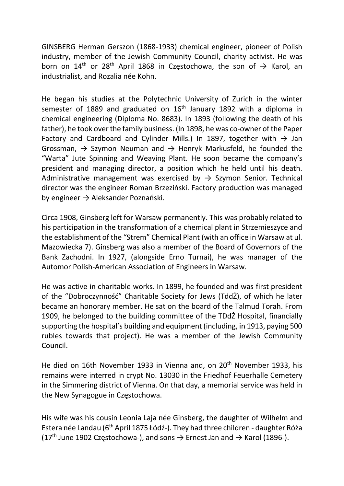GINSBERG Herman Gerszon (1868-1933) chemical engineer, pioneer of Polish industry, member of the Jewish Community Council, charity activist. He was born on 14<sup>th</sup> or 28<sup>th</sup> April 1868 in Czestochowa, the son of  $\rightarrow$  Karol, an industrialist, and Rozalia née Kohn.

He began his studies at the Polytechnic University of Zurich in the winter semester of 1889 and graduated on 16<sup>th</sup> January 1892 with a diploma in chemical engineering (Diploma No. 8683). In 1893 (following the death of his father), he took over the family business. (In 1898, he was co-owner of the Paper Factory and Cardboard and Cylinder Mills.) In 1897, together with  $\rightarrow$  Jan Grossman,  $\rightarrow$  Szymon Neuman and  $\rightarrow$  Henryk Markusfeld, he founded the "Warta" Jute Spinning and Weaving Plant. He soon became the company's president and managing director, a position which he held until his death. Administrative management was exercised by  $\rightarrow$  Szymon Senior. Technical director was the engineer Roman Brzeziński. Factory production was managed by engineer  $\rightarrow$  Aleksander Poznański.

Circa 1908, Ginsberg left for Warsaw permanently. This was probably related to his participation in the transformation of a chemical plant in Strzemieszyce and the establishment of the "Strem" Chemical Plant (with an office in Warsaw at ul. Mazowiecka 7). Ginsberg was also a member of the Board of Governors of the Bank Zachodni. In 1927, (alongside Erno Turnai), he was manager of the Automor Polish-American Association of Engineers in Warsaw.

He was active in charitable works. In 1899, he founded and was first president of the "Dobroczynność" Charitable Society for Jews (TddŻ), of which he later became an honorary member. He sat on the board of the Talmud Torah. From 1909, he belonged to the building committee of the TDdŻ Hospital, financially supporting the hospital's building and equipment (including, in 1913, paying 500 rubles towards that project). He was a member of the Jewish Community Council.

He died on 16th November 1933 in Vienna and, on 20<sup>th</sup> November 1933, his remains were interred in crypt No. 13030 in the Friedhof Feuerhalle Cemetery in the Simmering district of Vienna. On that day, a memorial service was held in the New Synagogue in Częstochowa.

His wife was his cousin Leonia Laja née Ginsberg, the daughter of Wilhelm and Estera née Landau (6th April 1875 Łódź-). They had three children - daughter Róża (17<sup>th</sup> June 1902 Częstochowa-), and sons  $\rightarrow$  Ernest Jan and  $\rightarrow$  Karol (1896-).